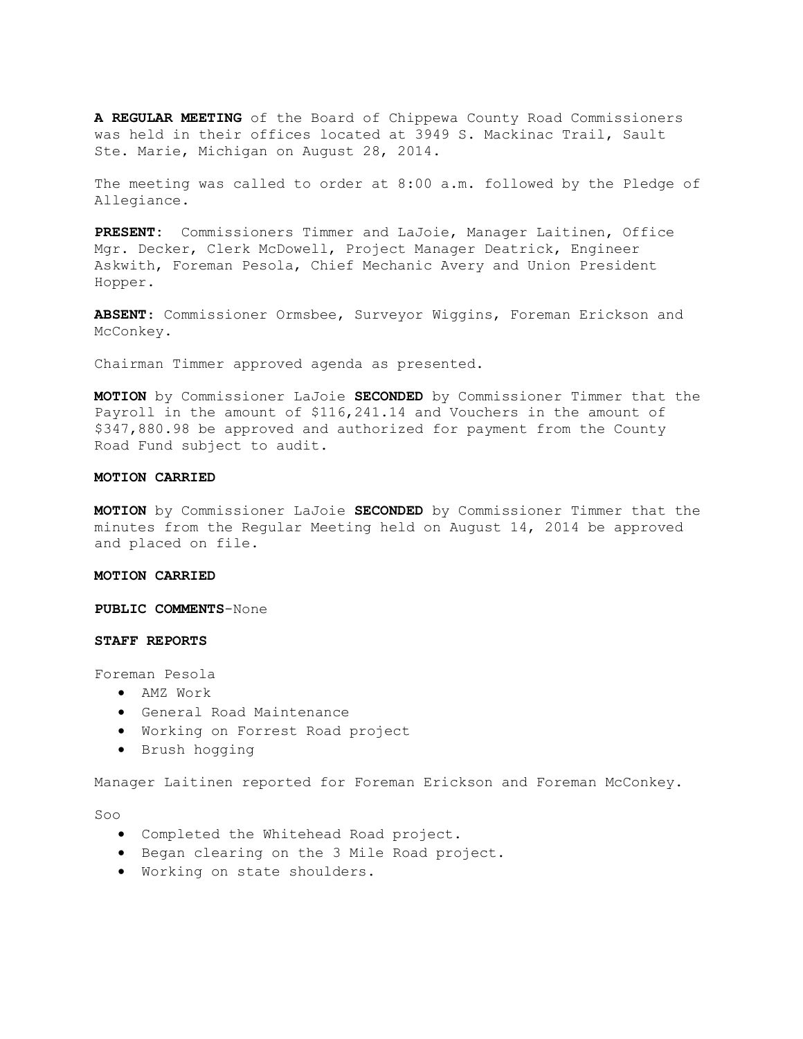**A REGULAR MEETING** of the Board of Chippewa County Road Commissioners was held in their offices located at 3949 S. Mackinac Trail, Sault Ste. Marie, Michigan on August 28, 2014.

The meeting was called to order at 8:00 a.m. followed by the Pledge of Allegiance.

**PRESENT:** Commissioners Timmer and LaJoie, Manager Laitinen, Office Mgr. Decker, Clerk McDowell, Project Manager Deatrick, Engineer Askwith, Foreman Pesola, Chief Mechanic Avery and Union President Hopper.

**ABSENT**: Commissioner Ormsbee, Surveyor Wiggins, Foreman Erickson and McConkey.

Chairman Timmer approved agenda as presented.

**MOTION** by Commissioner LaJoie **SECONDED** by Commissioner Timmer that the Payroll in the amount of \$116,241.14 and Vouchers in the amount of \$347,880.98 be approved and authorized for payment from the County Road Fund subject to audit.

# **MOTION CARRIED**

**MOTION** by Commissioner LaJoie **SECONDED** by Commissioner Timmer that the minutes from the Regular Meeting held on August 14, 2014 be approved and placed on file.

#### **MOTION CARRIED**

**PUBLIC COMMENTS**-None

#### **STAFF REPORTS**

Foreman Pesola

- · AMZ Work
- · General Road Maintenance
- · Working on Forrest Road project
- · Brush hogging

Manager Laitinen reported for Foreman Erickson and Foreman McConkey.

Soo

- · Completed the Whitehead Road project.
- · Began clearing on the 3 Mile Road project.
- · Working on state shoulders.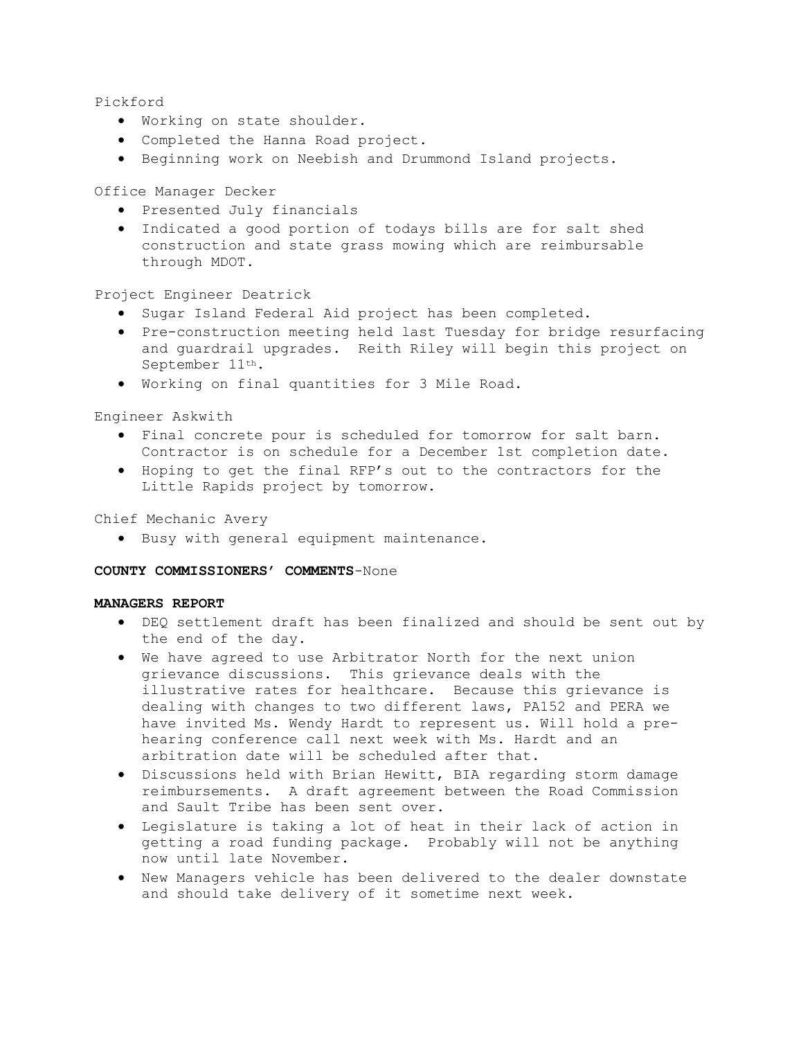Pickford

- · Working on state shoulder.
- · Completed the Hanna Road project.
- · Beginning work on Neebish and Drummond Island projects.

Office Manager Decker

- · Presented July financials
- · Indicated a good portion of todays bills are for salt shed construction and state grass mowing which are reimbursable through MDOT.

Project Engineer Deatrick

- · Sugar Island Federal Aid project has been completed.
- · Pre-construction meeting held last Tuesday for bridge resurfacing and guardrail upgrades. Reith Riley will begin this project on September 11th.
- · Working on final quantities for 3 Mile Road.

Engineer Askwith

- · Final concrete pour is scheduled for tomorrow for salt barn. Contractor is on schedule for a December 1st completion date.
- · Hoping to get the final RFP's out to the contractors for the Little Rapids project by tomorrow.

Chief Mechanic Avery

· Busy with general equipment maintenance.

# **COUNTY COMMISSIONERS' COMMENTS**-None

# **MANAGERS REPORT**

- · DEQ settlement draft has been finalized and should be sent out by the end of the day.
- · We have agreed to use Arbitrator North for the next union grievance discussions. This grievance deals with the illustrative rates for healthcare. Because this grievance is dealing with changes to two different laws, PA152 and PERA we have invited Ms. Wendy Hardt to represent us. Will hold a prehearing conference call next week with Ms. Hardt and an arbitration date will be scheduled after that.
- · Discussions held with Brian Hewitt, BIA regarding storm damage reimbursements. A draft agreement between the Road Commission and Sault Tribe has been sent over.
- · Legislature is taking a lot of heat in their lack of action in getting a road funding package. Probably will not be anything now until late November.
- · New Managers vehicle has been delivered to the dealer downstate and should take delivery of it sometime next week.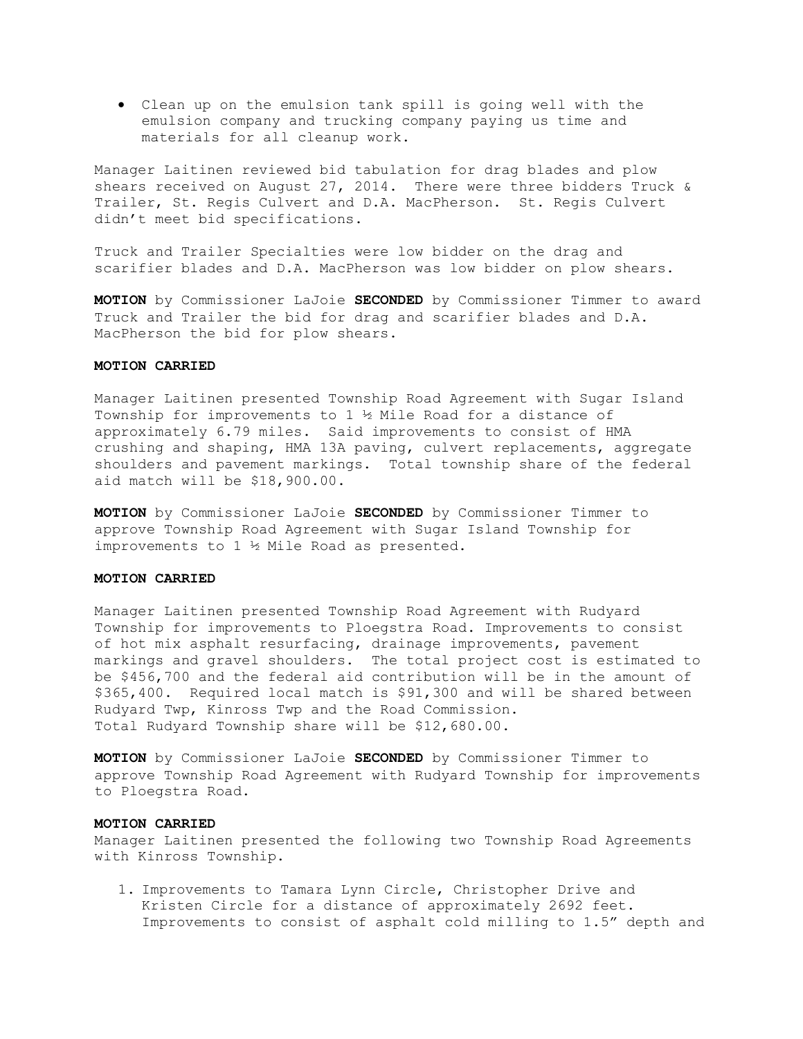· Clean up on the emulsion tank spill is going well with the emulsion company and trucking company paying us time and materials for all cleanup work.

Manager Laitinen reviewed bid tabulation for drag blades and plow shears received on August 27, 2014. There were three bidders Truck & Trailer, St. Regis Culvert and D.A. MacPherson. St. Regis Culvert didn't meet bid specifications.

Truck and Trailer Specialties were low bidder on the drag and scarifier blades and D.A. MacPherson was low bidder on plow shears.

**MOTION** by Commissioner LaJoie **SECONDED** by Commissioner Timmer to award Truck and Trailer the bid for drag and scarifier blades and D.A. MacPherson the bid for plow shears.

# **MOTION CARRIED**

Manager Laitinen presented Township Road Agreement with Sugar Island Township for improvements to 1 ½ Mile Road for a distance of approximately 6.79 miles. Said improvements to consist of HMA crushing and shaping, HMA 13A paving, culvert replacements, aggregate shoulders and pavement markings. Total township share of the federal aid match will be \$18,900.00.

**MOTION** by Commissioner LaJoie **SECONDED** by Commissioner Timmer to approve Township Road Agreement with Sugar Island Township for improvements to 1 ½ Mile Road as presented.

#### **MOTION CARRIED**

Manager Laitinen presented Township Road Agreement with Rudyard Township for improvements to Ploegstra Road. Improvements to consist of hot mix asphalt resurfacing, drainage improvements, pavement markings and gravel shoulders. The total project cost is estimated to be \$456,700 and the federal aid contribution will be in the amount of \$365,400. Required local match is \$91,300 and will be shared between Rudyard Twp, Kinross Twp and the Road Commission. Total Rudyard Township share will be \$12,680.00.

**MOTION** by Commissioner LaJoie **SECONDED** by Commissioner Timmer to approve Township Road Agreement with Rudyard Township for improvements to Ploegstra Road.

# **MOTION CARRIED**

Manager Laitinen presented the following two Township Road Agreements with Kinross Township.

1. Improvements to Tamara Lynn Circle, Christopher Drive and Kristen Circle for a distance of approximately 2692 feet. Improvements to consist of asphalt cold milling to 1.5" depth and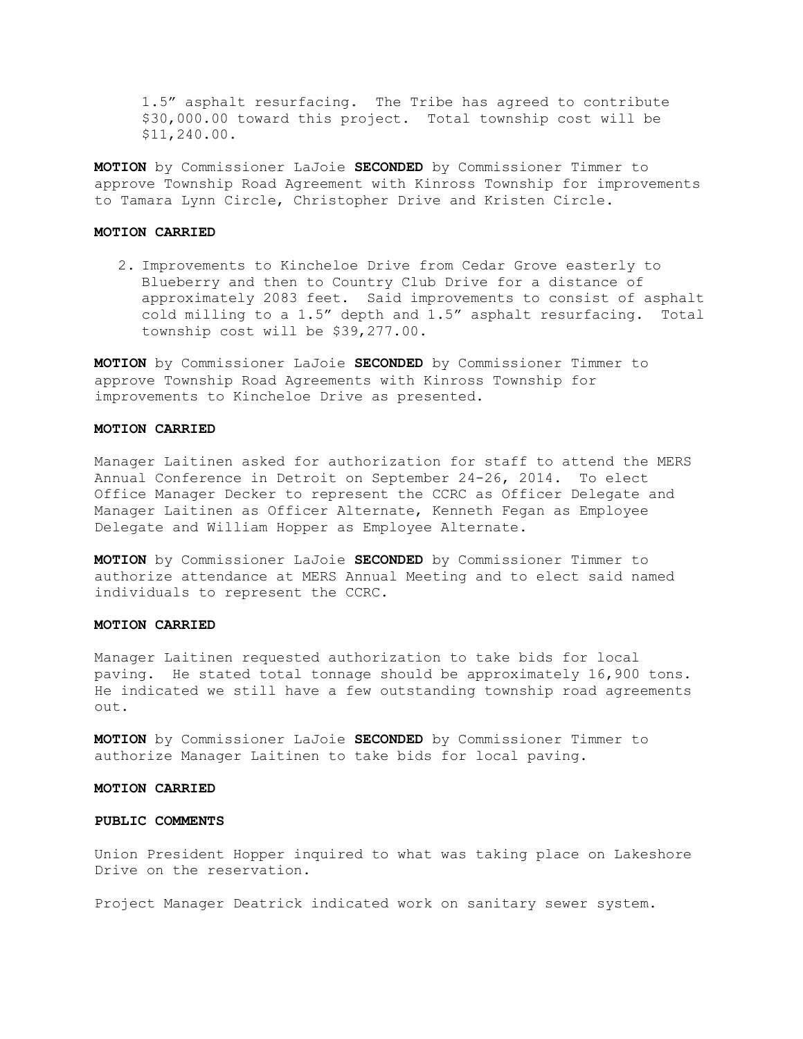1.5" asphalt resurfacing. The Tribe has agreed to contribute \$30,000.00 toward this project. Total township cost will be \$11,240.00.

**MOTION** by Commissioner LaJoie **SECONDED** by Commissioner Timmer to approve Township Road Agreement with Kinross Township for improvements to Tamara Lynn Circle, Christopher Drive and Kristen Circle.

#### **MOTION CARRIED**

2. Improvements to Kincheloe Drive from Cedar Grove easterly to Blueberry and then to Country Club Drive for a distance of approximately 2083 feet. Said improvements to consist of asphalt cold milling to a 1.5" depth and 1.5" asphalt resurfacing. Total township cost will be \$39,277.00.

**MOTION** by Commissioner LaJoie **SECONDED** by Commissioner Timmer to approve Township Road Agreements with Kinross Township for improvements to Kincheloe Drive as presented.

#### **MOTION CARRIED**

Manager Laitinen asked for authorization for staff to attend the MERS Annual Conference in Detroit on September 24-26, 2014. To elect Office Manager Decker to represent the CCRC as Officer Delegate and Manager Laitinen as Officer Alternate, Kenneth Fegan as Employee Delegate and William Hopper as Employee Alternate.

**MOTION** by Commissioner LaJoie **SECONDED** by Commissioner Timmer to authorize attendance at MERS Annual Meeting and to elect said named individuals to represent the CCRC.

# **MOTION CARRIED**

Manager Laitinen requested authorization to take bids for local paving. He stated total tonnage should be approximately 16,900 tons. He indicated we still have a few outstanding township road agreements out.

**MOTION** by Commissioner LaJoie **SECONDED** by Commissioner Timmer to authorize Manager Laitinen to take bids for local paving.

# **MOTION CARRIED**

# **PUBLIC COMMENTS**

Union President Hopper inquired to what was taking place on Lakeshore Drive on the reservation.

Project Manager Deatrick indicated work on sanitary sewer system.